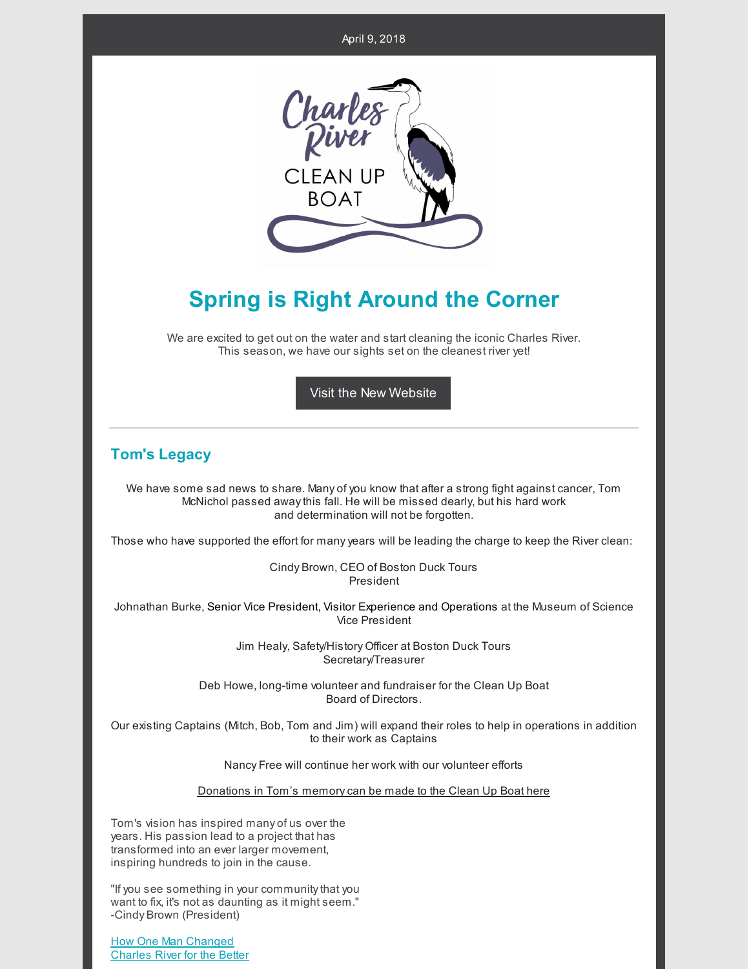

## **Spring is Right Around the Corner**

We are excited to get out on the water and start cleaning the iconic Charles River. This season, we have our sights set on the cleanest river yet!

Visit the New [Website](http://cleanupboat.org/)

## **Tom's Legacy**

We have some sad news to share. Many of you know that after a strong fight against cancer, Tom McNichol passed awaythis fall. He will be missed dearly, but his hard work and determination will not be forgotten.

Those who have supported the effort for manyyears will be leading the charge to keep the River clean:

Cindy Brown, CEO of Boston Duck Tours President

Johnathan Burke, Senior Vice President, Visitor Experience and Operations at the Museum of Science Vice President

> Jim Healy, Safety/History Officer at Boston Duck Tours Secretary/Treasurer

Deb Howe, long-time volunteer and fundraiser for the Clean Up Boat Board of Directors.

Our existing Captains (Mitch, Bob, Tom and Jim) will expand their roles to help in operations in addition to their work as Captains

Nancy Free will continue her work with our volunteer efforts

Donations in Tom's [memorycan](https://www.cleanupboat.org/donation) be made to the Clean Up Boat here

Tom's vision has inspired many of us over the years. His passion lead to a project that has transformed into an ever larger movement, inspiring hundreds to join in the cause.

"If you see something in your community that you want to fix, it's not as daunting as it might seem." -Cindy Brown (President)

How One Man [Changed](https://earth911.com/inspire/charles-river-clean-up-boat/) [Charles](https://earth911.com/inspire/charles-river-clean-up-boat/) River for the Better